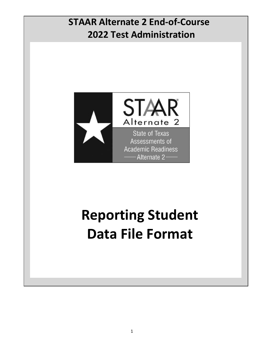# 2022 Test Administration STAAR Alternate 2 End-of-Course



# Reporting Student Data File Format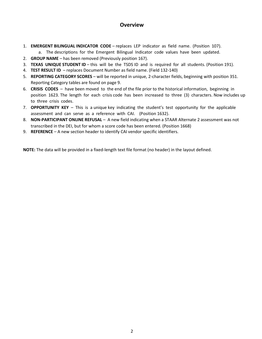### **Overview**

- 1. **EMERGENT BILINGUAL INDICATOR CODE** replaces LEP indicator as field name. (Position 107).
	- a. The descriptions for the Emergent Bilingual Indicator code values have been updated.
- 2. GROUP NAME has been removed (Previously position 167).
- 3. TEXAS UNIQUE STUDENT ID this will be the TSDS ID and is required for all students. (Position 191).
- 4. TEST RESULT ID replaces Document Number as field name. (Field 132-140)
- 5. REPORTING CATEGORY SCORES will be reported in unique, 2-character fields, beginning with position 351. Reporting Category tables are found on page 9.
- 6. CRISIS CODES have been moved to the end of the file prior to the historical information, beginning in position 1623. The length for each crisis code has been increased to three (3) characters. Now includes up to three crisis codes.
- 7. **OPPORTUNITY KEY** This is a unique key indicating the student's test opportunity for the applicable assessment and can serve as a reference with CAI. (Position 1632).
- 8. NON-PARTICIPANT ONLINE REFUSAL A new field indicating when a STAAR Alternate 2 assessment was not transcribed in the DEI, but for whom a score code has been entered. (Position 1668)
- 9. REFERENCE A new section header to identify CAI vendor specific identifiers.

NOTE: The data will be provided in a fixed-length text file format (no header) in the layout defined.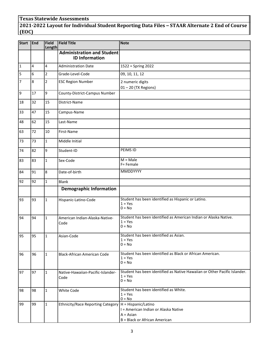#### Texas Statewide Assessments

## 2021-2022 Layout for Individual Student Reporting Data Files – STAAR Alternate 2 End of Course (EOC)

| Start          | End | Field<br>Length | <b>Field Title</b>                                         | <b>Note</b>                                                                                                 |  |  |  |  |
|----------------|-----|-----------------|------------------------------------------------------------|-------------------------------------------------------------------------------------------------------------|--|--|--|--|
|                |     |                 | <b>Administration and Student</b><br><b>ID Information</b> |                                                                                                             |  |  |  |  |
| $\vert$ 1      | 4   | 4               | <b>Administration Date</b>                                 | 1522 = Spring 2022                                                                                          |  |  |  |  |
| 5              | 6   | $\overline{2}$  | Grade-Level-Code                                           | 09, 10, 11, 12                                                                                              |  |  |  |  |
| $\overline{7}$ | 8   | $\overline{2}$  | <b>ESC Region Number</b>                                   | 2 numeric digits<br>$01 - 20$ (TX Regions)                                                                  |  |  |  |  |
| و              | 17  | 9               | County-District-Campus Number                              |                                                                                                             |  |  |  |  |
| 18             | 32  | 15              | District-Name                                              |                                                                                                             |  |  |  |  |
| 33             | 47  | 15              | Campus-Name                                                |                                                                                                             |  |  |  |  |
| 48             | 62  | 15              | Last-Name                                                  |                                                                                                             |  |  |  |  |
| 63             | 72  | 10              | First-Name                                                 |                                                                                                             |  |  |  |  |
| 73             | 73  | $\mathbf{1}$    | Middle Initial                                             |                                                                                                             |  |  |  |  |
| 74             | 82  | 9               | Student-ID                                                 | PEIMS ID                                                                                                    |  |  |  |  |
| 83             | 83  | $\mathbf{1}$    | Sex-Code                                                   | $M = Male$<br>F= Female                                                                                     |  |  |  |  |
| 84             | 91  | 8               | Date-of-birth                                              | MMDDYYYY                                                                                                    |  |  |  |  |
| 92             | 92  | $\mathbf{1}$    | Blank                                                      |                                                                                                             |  |  |  |  |
|                |     |                 | <b>Demographic Information</b>                             |                                                                                                             |  |  |  |  |
| 93             | 93  | $\mathbf{1}$    | Hispanic-Latino-Code                                       | Student has been identified as Hispanic or Latino.<br>$1 = Yes$<br>$0 = No$                                 |  |  |  |  |
| 94             | 94  | $\mathbf{1}$    | American Indian-Alaska-Native-<br>Code                     | Student has been identified as American Indian or Alaska Native.<br>$1 = Yes$<br>$0 = No$                   |  |  |  |  |
| 95             | 95  | $\mathbf{1}$    | Asian-Code                                                 | Student has been identified as Asian.<br>$1 = Yes$<br>$0 = No$                                              |  |  |  |  |
| 96             | 96  | 1               | Black-African American Code                                | Student has been identified as Black or African American.<br>$1 = Yes$<br>$0 = No$                          |  |  |  |  |
| 97             | 97  | 1               | Native-Hawaiian-Pacific-Islander-<br>Code                  | Student has been identified as Native Hawaiian or Other Pacific Islander.<br>$1 = Yes$<br>$0 = No$          |  |  |  |  |
| 98             | 98  | $\mathbf{1}$    | White Code                                                 | Student has been identified as White.<br>$1 = Yes$<br>$0 = No$                                              |  |  |  |  |
| 99             | 99  | $\mathbf{1}$    | <b>Ethnicity/Race Reporting Category</b>                   | H = Hispanic/Latino<br>I = American Indian or Alaska Native<br>$A = Asian$<br>B = Black or African American |  |  |  |  |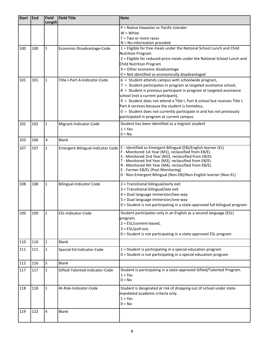| <b>Start</b> | <b>End</b> | Field        | <b>Field Title</b>                       | <b>Note</b>                                                                                                       |  |  |  |  |
|--------------|------------|--------------|------------------------------------------|-------------------------------------------------------------------------------------------------------------------|--|--|--|--|
|              |            | Length       |                                          |                                                                                                                   |  |  |  |  |
|              |            |              |                                          | P = Native Hawaiian or Pacific Islander                                                                           |  |  |  |  |
|              |            |              |                                          | $W = White$<br>$T = Two$ or more races                                                                            |  |  |  |  |
|              |            |              |                                          | $N = No$ information provided                                                                                     |  |  |  |  |
| 100          | 100        | $\mathbf{1}$ | Economic-Disadvantage-Code               | 1 = Eligible for free meals under the National School Lunch and Child                                             |  |  |  |  |
|              |            |              |                                          | <b>Nutrition Program</b>                                                                                          |  |  |  |  |
|              |            |              |                                          | 2 = Eligible for reduced-price meals under the National School Lunch and                                          |  |  |  |  |
|              |            |              |                                          | Child Nutrition Program                                                                                           |  |  |  |  |
|              |            |              |                                          | 9 = Other economic disadvantage                                                                                   |  |  |  |  |
|              |            |              |                                          | 0 = Not identified as economically disadvantaged                                                                  |  |  |  |  |
| 101          | 101        | $\mathbf{1}$ | Title-I-Part-A-Indicator-Code            | $6 =$ Student attends campus with schoolwide program,                                                             |  |  |  |  |
|              |            |              |                                          | 7 = Student participates in program at targeted assistance school,                                                |  |  |  |  |
|              |            |              |                                          | 8 = Student is previous participant in program at targeted assistance                                             |  |  |  |  |
|              |            |              |                                          | school (not a current participant),<br>9 = Student does not attend a Title I, Part A school but receives Title I, |  |  |  |  |
|              |            |              |                                          | Part A services because the student is homeless,                                                                  |  |  |  |  |
|              |            |              |                                          | $0 =$ Student does not currently participate in and has not previously                                            |  |  |  |  |
|              |            |              |                                          | participated in program at current campus                                                                         |  |  |  |  |
| 102          | 102        | 1            | Migrant-Indicator-Code                   | Student has been identified as a migrant student                                                                  |  |  |  |  |
|              |            |              |                                          | $1 = Yes$                                                                                                         |  |  |  |  |
|              |            |              |                                          | $0 = No$                                                                                                          |  |  |  |  |
| 103          | 106        | 4            | <b>Blank</b>                             |                                                                                                                   |  |  |  |  |
| 107          | 107        | $\mathbf{1}$ | <b>Emergent Bilingual Indicator Code</b> | C - Identified as Emergent Bilingual (EB)/English learner (EL)                                                    |  |  |  |  |
|              |            |              |                                          | F - Monitored 1st Year (M1), reclassified from EB/EL<br>S - Monitored 2nd Year (M2), reclassified from EB/EL      |  |  |  |  |
|              |            |              |                                          | T - Monitored 3rd Year (M3), reclassified from EB/EL                                                              |  |  |  |  |
|              |            |              |                                          | R - Monitored 4th Year (M4), reclassified from EB/EL                                                              |  |  |  |  |
|              |            |              |                                          | E - Former EB/EL (Post Monitoring)                                                                                |  |  |  |  |
|              |            |              |                                          | 0 - Non-Emergent Bilingual (Non-EB)/Non-English learner (Non-EL)                                                  |  |  |  |  |
| 108          | 108        | $\mathbf{1}$ | <b>Bilingual-Indicator Code</b>          | 2 = Transitional bilingual/early exit                                                                             |  |  |  |  |
|              |            |              |                                          | 3 = Transitional bilingual/late exit                                                                              |  |  |  |  |
|              |            |              |                                          | 4 = Dual language immersion/two-way                                                                               |  |  |  |  |
|              |            |              |                                          | 5 = Dual language immersion/one-way                                                                               |  |  |  |  |
|              |            |              |                                          | 0 = Student is not participating in a state-approved full bilingual program                                       |  |  |  |  |
| 109          | 109        | $\mathbf{1}$ | ESL-Indicator-Code                       | Student participates only in an English as a second language (ESL)                                                |  |  |  |  |
|              |            |              |                                          | program.                                                                                                          |  |  |  |  |
|              |            |              |                                          | $2 = ESL/content-based,$                                                                                          |  |  |  |  |
|              |            |              |                                          | $3 = ESL/pull-out,$                                                                                               |  |  |  |  |
|              |            |              |                                          | 0 = Student is not participating in a state-approved ESL program                                                  |  |  |  |  |
| 110          | 110        | $\mathbf{1}$ | <b>Blank</b>                             |                                                                                                                   |  |  |  |  |
| 111          | 111        | $\mathbf{1}$ | Special-Ed-Indicator-Code                | 1 = Student is participating in a special education program                                                       |  |  |  |  |
|              |            |              |                                          | 0 = Student is not participating in a special education program                                                   |  |  |  |  |
| 112          | 116        | 5            | <b>Blank</b>                             |                                                                                                                   |  |  |  |  |
| 117          | 117        | $\mathbf{1}$ | Gifted-Talented-Indicator-Code           | Student is participating in a state-approved Gifted/Talented Program.                                             |  |  |  |  |
|              |            |              |                                          | $1 = Yes$                                                                                                         |  |  |  |  |
|              |            |              |                                          | $0 = No$                                                                                                          |  |  |  |  |
| 118          | 118        | $\mathbf{1}$ | At-Risk-Indicator-Code                   | Student is designated at risk of dropping out of school under state-                                              |  |  |  |  |
|              |            |              |                                          | mandated academic criteria only.                                                                                  |  |  |  |  |
|              |            |              |                                          | $1 = Yes$                                                                                                         |  |  |  |  |
|              |            |              |                                          | $0 = No$                                                                                                          |  |  |  |  |
| 119          | 122        | 4            | <b>Blank</b>                             |                                                                                                                   |  |  |  |  |
|              |            |              |                                          |                                                                                                                   |  |  |  |  |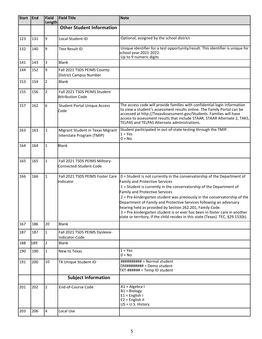| <b>Start</b> | <b>End</b> | <b>Field</b><br>Length | <b>Field Title</b>                                            | <b>Note</b>                                                                                                                                                                                                                                                                                                                                                                                                                                                                                                                                                                                                           |  |  |  |  |
|--------------|------------|------------------------|---------------------------------------------------------------|-----------------------------------------------------------------------------------------------------------------------------------------------------------------------------------------------------------------------------------------------------------------------------------------------------------------------------------------------------------------------------------------------------------------------------------------------------------------------------------------------------------------------------------------------------------------------------------------------------------------------|--|--|--|--|
|              |            |                        | <b>Other Student Information</b>                              |                                                                                                                                                                                                                                                                                                                                                                                                                                                                                                                                                                                                                       |  |  |  |  |
| 123          | 131        | 9                      | Local-Student-ID                                              | Optional, assigned by the school district                                                                                                                                                                                                                                                                                                                                                                                                                                                                                                                                                                             |  |  |  |  |
| 132          | 140        | 9                      | <b>Test Result ID</b>                                         | Unique identifier for a test opportunity/result. This identifier is unique for<br>school year 2021-2022.<br>Up to 9 numeric digits                                                                                                                                                                                                                                                                                                                                                                                                                                                                                    |  |  |  |  |
| 141          | 143        | 3                      | <b>Blank</b>                                                  |                                                                                                                                                                                                                                                                                                                                                                                                                                                                                                                                                                                                                       |  |  |  |  |
| 144          | 152        | 9                      | Fall 2021 TSDS PEIMS County-<br><b>District Campus Number</b> |                                                                                                                                                                                                                                                                                                                                                                                                                                                                                                                                                                                                                       |  |  |  |  |
| 153          | 154        | $\overline{2}$         | <b>Blank</b>                                                  |                                                                                                                                                                                                                                                                                                                                                                                                                                                                                                                                                                                                                       |  |  |  |  |
| 155          | 156        | $\overline{2}$         | Fall 2021 TSDS PEIMS Student<br>Attribution Code              |                                                                                                                                                                                                                                                                                                                                                                                                                                                                                                                                                                                                                       |  |  |  |  |
| 157          | 162        | 6                      | <b>Student Portal Unique Access</b><br>lCode                  | The access code will provide families with confidential login information<br>to view a student's assessment results online. The Family Portal can be<br>accessed at http://TexasAssessment.gov/Students. Families will have<br>access to assessment results that include STAAR, STAAR Alternate 2, TAKS,<br>TELPAS and TELPAS Alternate administrations.                                                                                                                                                                                                                                                              |  |  |  |  |
| 163          | 163        | $\mathbf{1}$           | Migrant Student in Texas Migrant<br>Interstate Program (TMIP) | Student participated in out-of-state testing through the TMIP.<br>$1 = Yes$<br>$0 = No$                                                                                                                                                                                                                                                                                                                                                                                                                                                                                                                               |  |  |  |  |
| 164          | 164        | $\mathbf{1}$           | Blank                                                         |                                                                                                                                                                                                                                                                                                                                                                                                                                                                                                                                                                                                                       |  |  |  |  |
| 165          | 165        | $\mathbf{1}$           | Fall 2021 TSDS PEIMS Military-<br>Connected-Student-Code      |                                                                                                                                                                                                                                                                                                                                                                                                                                                                                                                                                                                                                       |  |  |  |  |
| 166          | 166        | $\mathbf{1}$           | Fall 2021 TSDS PEIMS Foster Care<br>Indicator                 | 0 = Student is not currently in the conservatorship of the Department of<br><b>Family and Protective Services</b><br>1 = Student is currently in the conservatorship of the Department of<br><b>Family and Protective Services</b><br>2 = Pre-kindergarten student was previously in the conservatorship of the<br>Department of Family and Protective Services following an adversary<br>hearing held as provided by Section 262.201, Family Code.<br>3 = Pre-kindergarten student is or ever has been in foster care in another<br>state or territory, if the child resides in this state (Texas). TEC, §29.153(b). |  |  |  |  |
| 167          | 186        | 20                     | <b>Blank</b>                                                  |                                                                                                                                                                                                                                                                                                                                                                                                                                                                                                                                                                                                                       |  |  |  |  |
| 187          | 187        | $\mathbf{1}$           | Fall 2021 TSDS PEIMS Dyslexia-<br>Indicator-Code              |                                                                                                                                                                                                                                                                                                                                                                                                                                                                                                                                                                                                                       |  |  |  |  |
| 188          | 189        | $\overline{2}$         | <b>Blank</b>                                                  |                                                                                                                                                                                                                                                                                                                                                                                                                                                                                                                                                                                                                       |  |  |  |  |
| 190          | 190        | $\mathbf{1}$           | New to Texas                                                  | $1 = Yes$<br>$0 = No$                                                                                                                                                                                                                                                                                                                                                                                                                                                                                                                                                                                                 |  |  |  |  |
| 191          | 200        | 10                     | TX Unique Student-ID                                          | ########### = Normal student<br>$DM\# \# \# \# \# \# \# =$ Demo student<br>TXT-###### = Temp ID student                                                                                                                                                                                                                                                                                                                                                                                                                                                                                                               |  |  |  |  |
|              |            |                        | <b>Subject Information</b>                                    |                                                                                                                                                                                                                                                                                                                                                                                                                                                                                                                                                                                                                       |  |  |  |  |
| 201          | 202        | $\overline{2}$         | End-of-Course Code                                            | A1 = Algebra I<br>$B1 = Biology$<br>$E1 =$ English I<br>$E2 =$ English II<br>$US = U.S. History$                                                                                                                                                                                                                                                                                                                                                                                                                                                                                                                      |  |  |  |  |
| 203          | 206        | 4                      | Local Use                                                     |                                                                                                                                                                                                                                                                                                                                                                                                                                                                                                                                                                                                                       |  |  |  |  |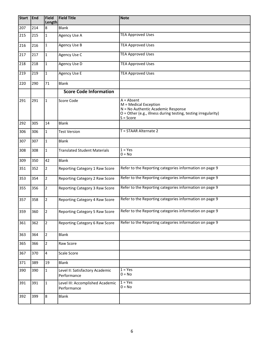| <b>Start</b> | End | Field<br>Length | <b>Field Title</b>                              | <b>Note</b>                                                                                                                                                  |  |  |  |
|--------------|-----|-----------------|-------------------------------------------------|--------------------------------------------------------------------------------------------------------------------------------------------------------------|--|--|--|
| 207          | 214 | 8               | Blank                                           |                                                                                                                                                              |  |  |  |
| 215          | 215 | $\mathbf{1}$    | Agency Use A                                    | <b>TEA Approved Uses</b>                                                                                                                                     |  |  |  |
| 216          | 216 | 1               | Agency Use B                                    | <b>TEA Approved Uses</b>                                                                                                                                     |  |  |  |
| 217          | 217 | $\mathbf{1}$    | Agency Use C                                    | <b>TEA Approved Uses</b>                                                                                                                                     |  |  |  |
| 218          | 218 | $\mathbf{1}$    | Agency Use D                                    | <b>TEA Approved Uses</b>                                                                                                                                     |  |  |  |
| 219          | 219 | $\mathbf{1}$    | Agency Use E                                    | <b>TEA Approved Uses</b>                                                                                                                                     |  |  |  |
| 220          | 290 | 71              | Blank                                           |                                                                                                                                                              |  |  |  |
|              |     |                 | <b>Score Code Information</b>                   |                                                                                                                                                              |  |  |  |
| 291          | 291 | $\mathbf{1}$    | Score Code                                      | $A = Absent$<br>M = Medical Exception<br>N = No Authentic Academic Response<br>O = Other (e.g., illness during testing, testing irregularity)<br>$S = Score$ |  |  |  |
| 292          | 305 | 14              | <b>Blank</b>                                    |                                                                                                                                                              |  |  |  |
| 306          | 306 | $\mathbf{1}$    | <b>Test Version</b>                             | T = STAAR Alternate 2                                                                                                                                        |  |  |  |
| 307          | 307 | $\mathbf{1}$    | <b>Blank</b>                                    |                                                                                                                                                              |  |  |  |
| 308          | 308 | $\mathbf{1}$    | <b>Translated Student Materials</b>             | $1 = Yes$<br>$0 = No$                                                                                                                                        |  |  |  |
| 309          | 350 | 42              | Blank                                           |                                                                                                                                                              |  |  |  |
| 351          | 352 | $\overline{2}$  | Reporting Category 1 Raw Score                  | Refer to the Reporting categories information on page 9                                                                                                      |  |  |  |
| 353          | 354 | $\overline{2}$  | Reporting Category 2 Raw Score                  | Refer to the Reporting categories information on page 9                                                                                                      |  |  |  |
| 355          | 356 | $\overline{2}$  | Reporting Category 3 Raw Score                  | Refer to the Reporting categories information on page 9                                                                                                      |  |  |  |
| 357          | 358 | $\overline{2}$  | Reporting Category 4 Raw Score                  | Refer to the Reporting categories information on page 9                                                                                                      |  |  |  |
| 359          | 360 | $\overline{2}$  | Reporting Category 5 Raw Score                  | Refer to the Reporting categories information on page 9                                                                                                      |  |  |  |
| 361          | 362 | $\overline{2}$  | Reporting Category 6 Raw Score                  | Refer to the Reporting categories information on page 9                                                                                                      |  |  |  |
| 363          | 364 | $\overline{2}$  | <b>Blank</b>                                    |                                                                                                                                                              |  |  |  |
| 365          | 366 | $\overline{2}$  | Raw Score                                       |                                                                                                                                                              |  |  |  |
| 367          | 370 | 4               | Scale Score                                     |                                                                                                                                                              |  |  |  |
| 371          | 389 | 19              | Blank                                           |                                                                                                                                                              |  |  |  |
| 390          | 390 | $\mathbf{1}$    | Level II: Satisfactory Academic<br>Performance  | $1 = Yes$<br>$0 = No$                                                                                                                                        |  |  |  |
| 391          | 391 | $\mathbf 1$     | Level III: Accomplished Academic<br>Performance | $1 = Yes$<br>$0 = No$                                                                                                                                        |  |  |  |
| 392          | 399 | 8               | <b>Blank</b>                                    |                                                                                                                                                              |  |  |  |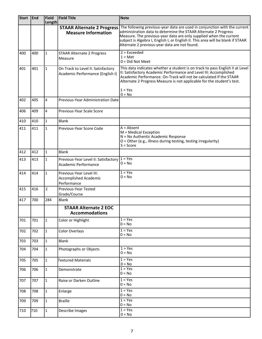| <b>Start</b> | End | Field          | <b>Field Title</b>                                                      | <b>Note</b>                                                                                                                                                                                                                                                                                                                 |  |  |  |  |
|--------------|-----|----------------|-------------------------------------------------------------------------|-----------------------------------------------------------------------------------------------------------------------------------------------------------------------------------------------------------------------------------------------------------------------------------------------------------------------------|--|--|--|--|
|              |     | Length         | <b>STAAR Alternate 2 Progress</b>                                       | The following previous-year data are used in conjunction with the current                                                                                                                                                                                                                                                   |  |  |  |  |
|              |     |                | <b>Measure Information</b>                                              | administration data to determine the STAAR Alternate 2 Progress<br>Measure. The previous-year data are only supplied when the current<br>subject is Algebra I, English I, or English II. This area will be blank if STAAR<br>Alternate 2 previous-year data are not found.                                                  |  |  |  |  |
| 400          | 400 | 1              | <b>STAAR Alternate 2 Progress</b>                                       | $2 = Exceeded$                                                                                                                                                                                                                                                                                                              |  |  |  |  |
|              |     |                | Measure                                                                 | $1 = Met$<br>$0 = Did$ Not Meet                                                                                                                                                                                                                                                                                             |  |  |  |  |
| 401          | 401 | 1              | On Track to Level II: Satisfactory<br>Academic Performance (English I)  | This data indicates whether a student is on track to pass English II at Level<br>II: Satisfactory Academic Performance and Level III: Accomplished<br>Academic Performance. On-Track will not be calculated if the STAAR<br>Alternate 2 Progress Measure is not applicable for the student's test.<br>$1 = Yes$<br>$0 = No$ |  |  |  |  |
| 402          | 405 | 4              | Previous-Year Administration Date                                       |                                                                                                                                                                                                                                                                                                                             |  |  |  |  |
| 406          | 409 | 4              | Previous-Year Scale Score                                               |                                                                                                                                                                                                                                                                                                                             |  |  |  |  |
| 410          | 410 | $\mathbf{1}$   | <b>Blank</b>                                                            |                                                                                                                                                                                                                                                                                                                             |  |  |  |  |
| 411          | 411 | $\mathbf{1}$   | Previous-Year Score Code                                                | $A = Absent$<br>M = Medical Exception<br>N = No Authentic Academic Response<br>O = Other (e.g., illness during testing, testing irregularity)<br>$S = Score$                                                                                                                                                                |  |  |  |  |
| 412          | 412 | $\mathbf{1}$   | <b>Blank</b>                                                            |                                                                                                                                                                                                                                                                                                                             |  |  |  |  |
| 413          | 413 | $\mathbf{1}$   | Previous-Year Level II: Satisfactory<br>Academic Performance            | $1 = Yes$<br>$0 = No$                                                                                                                                                                                                                                                                                                       |  |  |  |  |
| 414          | 414 | $\mathbf{1}$   | Previous-Year Level III:<br><b>Accomplished Academic</b><br>Performance | $1 = Yes$<br>$0 = No$                                                                                                                                                                                                                                                                                                       |  |  |  |  |
| 415          | 416 | $\overline{2}$ | Previous-Year Tested<br>Grade/Course                                    |                                                                                                                                                                                                                                                                                                                             |  |  |  |  |
| 417          | 700 | 284            | <b>Blank</b>                                                            |                                                                                                                                                                                                                                                                                                                             |  |  |  |  |
|              |     |                | <b>STAAR Alternate 2 EOC</b><br><b>Accommodations</b>                   |                                                                                                                                                                                                                                                                                                                             |  |  |  |  |
| 701          | 701 | $\mathbf{1}$   | Color or Highlight                                                      | $1 = Yes$<br>$0 = No$                                                                                                                                                                                                                                                                                                       |  |  |  |  |
| 702          | 702 | $\mathbf{1}$   | Color Overlays                                                          | $1 = Yes$<br>$0 = No$                                                                                                                                                                                                                                                                                                       |  |  |  |  |
| 703          | 703 | $\mathbf{1}$   | <b>Blank</b>                                                            |                                                                                                                                                                                                                                                                                                                             |  |  |  |  |
| 704          | 704 | $\mathbf{1}$   | Photographs or Objects                                                  | $1 = Yes$<br>$0 = No$                                                                                                                                                                                                                                                                                                       |  |  |  |  |
| 705          | 705 | $\mathbf{1}$   | Textured Materials                                                      | $1 = Yes$<br>$0 = No$                                                                                                                                                                                                                                                                                                       |  |  |  |  |
| 706          | 706 | $\mathbf{1}$   | Demonstrate                                                             | $1 = Yes$<br>$0 = No$                                                                                                                                                                                                                                                                                                       |  |  |  |  |
| 707          | 707 | 1              | Raise or Darken Outline                                                 | $1 = Yes$<br>$0 = No$                                                                                                                                                                                                                                                                                                       |  |  |  |  |
| 708          | 708 | $\mathbf{1}$   | Enlarge                                                                 | $1 = Yes$<br>$0 = No$                                                                                                                                                                                                                                                                                                       |  |  |  |  |
| 709          | 709 | $\mathbf{1}$   | <b>Braille</b>                                                          | $1 = Yes$<br>$0 = No$                                                                                                                                                                                                                                                                                                       |  |  |  |  |
| 710          | 710 | $\mathbf{1}$   | Describe Images                                                         | $1 = Yes$<br>$0 = No$                                                                                                                                                                                                                                                                                                       |  |  |  |  |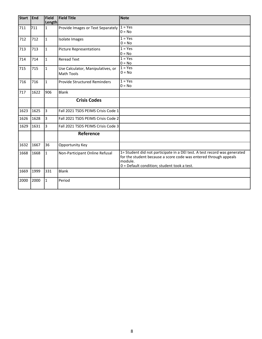| <b>Start</b> | End  | Field<br>Length | <b>Field Title</b>                              | <b>Note</b>                                                                                                                                                                                               |
|--------------|------|-----------------|-------------------------------------------------|-----------------------------------------------------------------------------------------------------------------------------------------------------------------------------------------------------------|
| 711          | 711  | $\mathbf{1}$    | Provide Images or Text Separately               | $1 = Yes$<br>$0 = No$                                                                                                                                                                                     |
| 712          | 712  | $\mathbf{1}$    | Isolate Images                                  | $1 = Yes$<br>$0 = No$                                                                                                                                                                                     |
| 713          | 713  | $\mathbf 1$     | <b>Picture Representations</b>                  | $1 = Yes$<br>$0 = No$                                                                                                                                                                                     |
| 714          | 714  | $\mathbf{1}$    | <b>Reread Text</b>                              | $1 = Yes$<br>$0 = No$                                                                                                                                                                                     |
| 715          | 715  | $\mathbf{1}$    | Use Calculator, Manipulatives, or<br>Math Tools | $1 = Yes$<br>$0 = No$                                                                                                                                                                                     |
| 716          | 716  | $\mathbf{1}$    | <b>Provide Structured Reminders</b>             | $1 = Yes$<br>$0 = No$                                                                                                                                                                                     |
| 717          | 1622 | 906             | Blank                                           |                                                                                                                                                                                                           |
|              |      |                 | <b>Crisis Codes</b>                             |                                                                                                                                                                                                           |
| 1623         | 1625 | Iз              | Fall 2021 TSDS PEIMS Crisis Code 1              |                                                                                                                                                                                                           |
| 1626         | 1628 | 3               | Fall 2021 TSDS PEIMS Crisis Code 2              |                                                                                                                                                                                                           |
| 1629         | 1631 | lз              | Fall 2021 TSDS PEIMS Crisis Code 3              |                                                                                                                                                                                                           |
|              |      |                 | Reference                                       |                                                                                                                                                                                                           |
| 1632         | 1667 | 36              | Opportunity Key                                 |                                                                                                                                                                                                           |
| 1668         | 1668 | $\mathbf{1}$    | Non-Participant Online Refusal                  | 1= Student did not participate in a DEI test. A test record was generated<br>for the student because a score code was entered through appeals<br>module.<br>$0 =$ Default condition; student took a test. |
| 1669         | 1999 | 331             | Blank                                           |                                                                                                                                                                                                           |
| 2000         | 2000 | $\mathbf{1}$    | Period                                          |                                                                                                                                                                                                           |